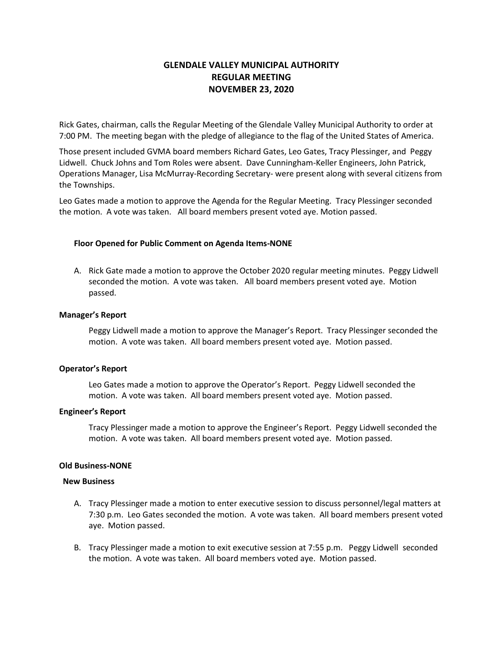# **GLENDALE VALLEY MUNICIPAL AUTHORITY REGULAR MEETING NOVEMBER 23, 2020**

Rick Gates, chairman, calls the Regular Meeting of the Glendale Valley Municipal Authority to order at 7:00 PM. The meeting began with the pledge of allegiance to the flag of the United States of America.

Those present included GVMA board members Richard Gates, Leo Gates, Tracy Plessinger, and Peggy Lidwell. Chuck Johns and Tom Roles were absent. Dave Cunningham-Keller Engineers, John Patrick, Operations Manager, Lisa McMurray-Recording Secretary- were present along with several citizens from the Townships.

Leo Gates made a motion to approve the Agenda for the Regular Meeting. Tracy Plessinger seconded the motion. A vote was taken. All board members present voted aye. Motion passed.

### **Floor Opened for Public Comment on Agenda Items-NONE**

A. Rick Gate made a motion to approve the October 2020 regular meeting minutes. Peggy Lidwell seconded the motion. A vote was taken. All board members present voted aye. Motion passed.

#### **Manager's Report**

Peggy Lidwell made a motion to approve the Manager's Report. Tracy Plessinger seconded the motion. A vote was taken. All board members present voted aye. Motion passed.

#### **Operator's Report**

Leo Gates made a motion to approve the Operator's Report. Peggy Lidwell seconded the motion. A vote was taken. All board members present voted aye. Motion passed.

#### **Engineer's Report**

Tracy Plessinger made a motion to approve the Engineer's Report. Peggy Lidwell seconded the motion. A vote was taken. All board members present voted aye. Motion passed.

#### **Old Business-NONE**

#### **New Business**

- A. Tracy Plessinger made a motion to enter executive session to discuss personnel/legal matters at 7:30 p.m. Leo Gates seconded the motion. A vote was taken. All board members present voted aye. Motion passed.
- B. Tracy Plessinger made a motion to exit executive session at 7:55 p.m. Peggy Lidwell seconded the motion. A vote was taken. All board members voted aye. Motion passed.